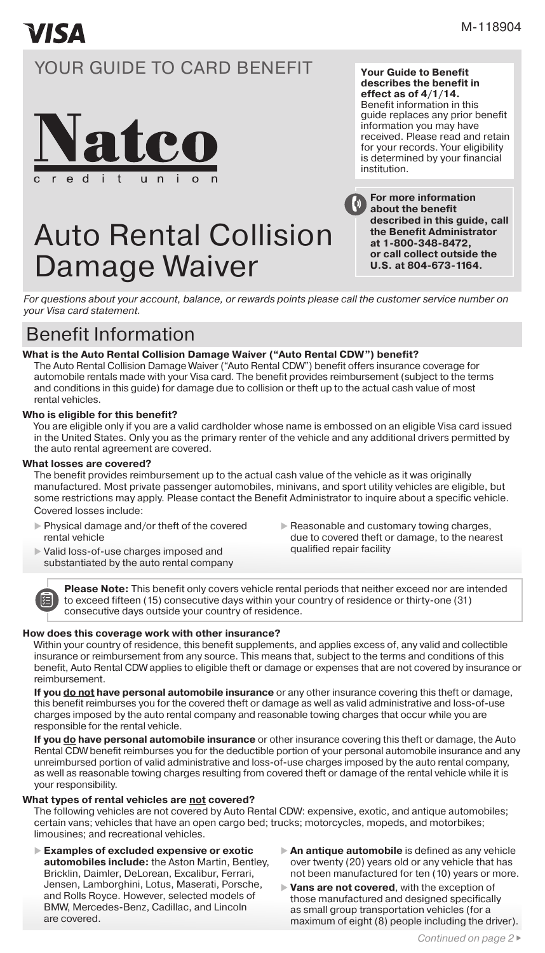# **VISA**

# YOUR GUIDE TO CARD BENEFIT



# Auto Rental Collision Damage Waiver

**Your Guide to Benefit describes the benefit in effect as of 4/1/14.**  Benefit information in this guide replaces any prior benefit information you may have received. Please read and retain for your records. Your eligibility is determined by your financial institution.



*For questions about your account, balance, or rewards points please call the customer service number on your Visa card statement.*

# Benefit Information

# **What is the Auto Rental Collision Damage Waiver ("Auto Rental CDW") benefit?**

The Auto Rental Collision Damage Waiver ("Auto Rental CDW") benefit offers insurance coverage for automobile rentals made with your Visa card. The benefit provides reimbursement (subject to the terms and conditions in this guide) for damage due to collision or theft up to the actual cash value of most rental vehicles.

## **Who is eligible for this benefit?**

You are eligible only if you are a valid cardholder whose name is embossed on an eligible Visa card issued in the United States. Only you as the primary renter of the vehicle and any additional drivers permitted by the auto rental agreement are covered.

#### **What losses are covered?**

阊

The benefit provides reimbursement up to the actual cash value of the vehicle as it was originally manufactured. Most private passenger automobiles, minivans, and sport utility vehicles are eligible, but some restrictions may apply. Please contact the Benefit Administrator to inquire about a specific vehicle. Covered losses include:

- Physical damage and/or theft of the covered rental vehicle
- $\blacktriangleright$  Reasonable and customary towing charges, due to covered theft or damage, to the nearest qualified repair facility
- Valid loss-of-use charges imposed and substantiated by the auto rental company

**Please Note:** This benefit only covers vehicle rental periods that neither exceed nor are intended to exceed fifteen (15) consecutive days within your country of residence or thirty-one (31) consecutive days outside your country of residence.

## **How does this coverage work with other insurance?**

Within your country of residence, this benefit supplements, and applies excess of, any valid and collectible insurance or reimbursement from any source. This means that, subject to the terms and conditions of this benefit, Auto Rental CDW applies to eligible theft or damage or expenses that are not covered by insurance or reimbursement.

**If you do not have personal automobile insurance** or any other insurance covering this theft or damage, this benefit reimburses you for the covered theft or damage as well as valid administrative and loss-of-use charges imposed by the auto rental company and reasonable towing charges that occur while you are responsible for the rental vehicle.

**If you do have personal automobile insurance** or other insurance covering this theft or damage, the Auto Rental CDW benefit reimburses you for the deductible portion of your personal automobile insurance and any unreimbursed portion of valid administrative and loss-of-use charges imposed by the auto rental company, as well as reasonable towing charges resulting from covered theft or damage of the rental vehicle while it is your responsibility.

## **What types of rental vehicles are not covered?**

The following vehicles are not covered by Auto Rental CDW: expensive, exotic, and antique automobiles; certain vans; vehicles that have an open cargo bed; trucks; motorcycles, mopeds, and motorbikes; limousines; and recreational vehicles.

- **Examples of excluded expensive or exotic automobiles include:** the Aston Martin, Bentley, Bricklin, Daimler, DeLorean, Excalibur, Ferrari, Jensen, Lamborghini, Lotus, Maserati, Porsche, and Rolls Royce. However, selected models of BMW, Mercedes-Benz, Cadillac, and Lincoln are covered.
- **An antique automobile** is defined as any vehicle over twenty (20) years old or any vehicle that has not been manufactured for ten (10) years or more.
- **Vans are not covered**, with the exception of those manufactured and designed specifically as small group transportation vehicles (for a maximum of eight (8) people including the driver).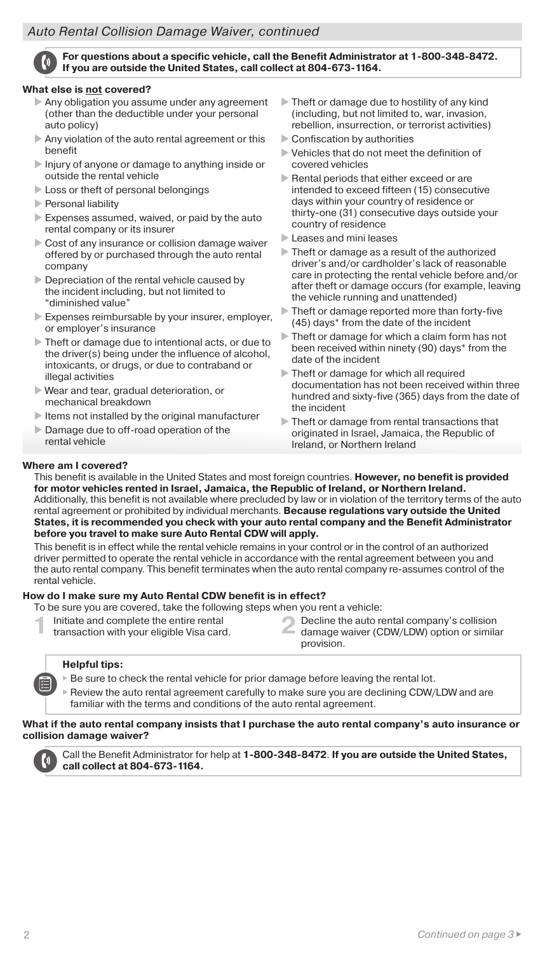# *Auto Rental Collision Damage Waiver, continued Auto Rental Collision Damage Waiver, continued*



**For questions about a specific vehicle, call the Benefit Administrator at 1-800-348-8472. If you are outside the United States, call collect at 804-673-1164.**

#### **What else is not covered?**

- Any obligation you assume under any agreement (other than the deductible under your personal auto policy)
- Any violation of the auto rental agreement or this benefit
- Injury of anyone or damage to anything inside or outside the rental vehicle
- Loss or theft of personal belongings
- **Personal liability**
- Expenses assumed, waived, or paid by the auto rental company or its insurer
- Cost of any insurance or collision damage waiver offered by or purchased through the auto rental company
- Depreciation of the rental vehicle caused by the incident including, but not limited to "diminished value"
- Expenses reimbursable by your insurer, employer, or employer's insurance
- Theft or damage due to intentional acts, or due to the driver(s) being under the influence of alcohol, intoxicants, or drugs, or due to contraband or illegal activities
- Wear and tear, gradual deterioration, or mechanical breakdown
- $\blacktriangleright$  Items not installed by the original manufacturer
- Damage due to off-road operation of the rental vehicle
- $\triangleright$  Theft or damage due to hostility of any kind (including, but not limited to, war, invasion, rebellion, insurrection, or terrorist activities)
- Confiscation by authorities
- Vehicles that do not meet the definition of covered vehicles
- Rental periods that either exceed or are intended to exceed fifteen (15) consecutive days within your country of residence or thirty-one (31) consecutive days outside your country of residence
- Leases and mini leases
- Theft or damage as a result of the authorized driver's and/or cardholder's lack of reasonable care in protecting the rental vehicle before and/or after theft or damage occurs (for example, leaving the vehicle running and unattended)
- Theft or damage reported more than forty-five (45) days\* from the date of the incident
- Theft or damage for which a claim form has not been received within ninety (90) days\* from the date of the incident
- Theft or damage for which all required documentation has not been received within three hundred and sixty-five (365) days from the date of the incident
- Theft or damage from rental transactions that originated in Israel, Jamaica, the Republic of Ireland, or Northern Ireland

# **Where am I covered?**

This benefit is available in the United States and most foreign countries. **However, no benefit is provided for motor vehicles rented in Israel, Jamaica, the Republic of Ireland, or Northern Ireland.** Additionally, this benefit is not available where precluded by law or in violation of the territory terms of the auto rental agreement or prohibited by individual merchants. **Because regulations vary outside the United States, it is recommended you check with your auto rental company and the Benefit Administrator before you travel to make sure Auto Rental CDW will apply.**

This benefit is in effect while the rental vehicle remains in your control or in the control of an authorized driver permitted to operate the rental vehicle in accordance with the rental agreement between you and the auto rental company. This benefit terminates when the auto rental company re-assumes control of the rental vehicle.

# **How do I make sure my Auto Rental CDW benefit is in effect?**

- To be sure you are covered, take the following steps when you rent a vehicle:
	- Initiate and complete the entire rental transaction with your eligible Visa card.
- **1** Initiate and complete the entire rental **2** Decline the auto rental company's collision transaction with your eligible Visa card. provision.

# **Helpful tips:**

- $\blacktriangleright$  Be sure to check the rental vehicle for prior damage before leaving the rental lot.
- Review the auto rental agreement carefully to make sure you are declining CDW/LDW and are familiar with the terms and conditions of the auto rental agreement.

# **What if the auto rental company insists that I purchase the auto rental company's auto insurance or collision damage waiver?**



Call the Benefit Administrator for help at **1-800-348-8472**. **If you are outside the United States, call collect at 804-673-1164.**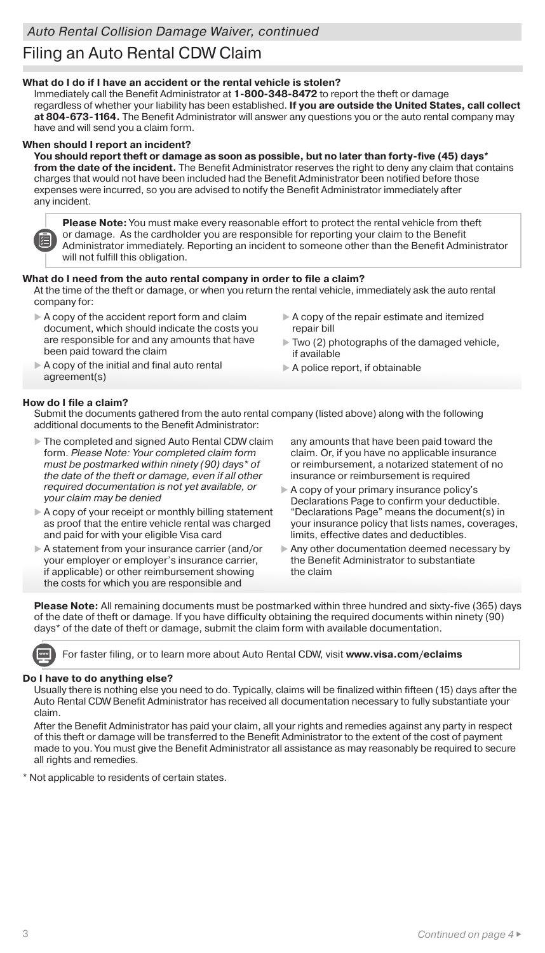# Filing an Auto Rental CDW Claim

## **What do I do if I have an accident or the rental vehicle is stolen?**

Immediately call the Benefit Administrator at **1-800-348-8472** to report the theft or damage regardless of whether your liability has been established. **If you are outside the United States, call collect at 804-673-1164.** The Benefit Administrator will answer any questions you or the auto rental company may have and will send you a claim form.

#### **When should I report an incident?**

**You should report theft or damage as soon as possible, but no later than forty-five (45) days\* from the date of the incident.** The Benefit Administrator reserves the right to deny any claim that contains charges that would not have been included had the Benefit Administrator been notified before those expenses were incurred, so you are advised to notify the Benefit Administrator immediately after any incident.

**Please Note:** You must make every reasonable effort to protect the rental vehicle from theft or damage. As the cardholder you are responsible for reporting your claim to the Benefit Administrator immediately. Reporting an incident to someone other than the Benefit Administrator will not fulfill this obligation.

## **What do I need from the auto rental company in order to file a claim?**

At the time of the theft or damage, or when you return the rental vehicle, immediately ask the auto rental company for:

- A copy of the accident report form and claim document, which should indicate the costs you are responsible for and any amounts that have been paid toward the claim
- A copy of the repair estimate and itemized repair bill
- $\triangleright$  Two (2) photographs of the damaged vehicle, if available
- A copy of the initial and final auto rental agreement(s)
- A police report, if obtainable

# **How do I file a claim?**

Submit the documents gathered from the auto rental company (listed above) along with the following additional documents to the Benefit Administrator:

- The completed and signed Auto Rental CDW claim form. *Please Note: Your completed claim form must be postmarked within ninety (90) days\* of the date of the theft or damage, even if all other required documentation is not yet available, or your claim may be denied*
- A copy of your receipt or monthly billing statement as proof that the entire vehicle rental was charged and paid for with your eligible Visa card
- A statement from your insurance carrier (and/or your employer or employer's insurance carrier, if applicable) or other reimbursement showing the costs for which you are responsible and

any amounts that have been paid toward the claim. Or, if you have no applicable insurance or reimbursement, a notarized statement of no insurance or reimbursement is required

- A copy of your primary insurance policy's Declarations Page to confirm your deductible. "Declarations Page" means the document(s) in your insurance policy that lists names, coverages, limits, effective dates and deductibles.
- Any other documentation deemed necessary by the Benefit Administrator to substantiate the claim

**Please Note:** All remaining documents must be postmarked within three hundred and sixty-five (365) days of the date of theft or damage. If you have difficulty obtaining the required documents within ninety (90) days\* of the date of theft or damage, submit the claim form with available documentation.

For faster filing, or to learn more about Auto Rental CDW, visit **www.visa.com/eclaims**

## **Do I have to do anything else?**

Usually there is nothing else you need to do. Typically, claims will be finalized within fifteen (15) days after the Auto Rental CDW Benefit Administrator has received all documentation necessary to fully substantiate your claim.

After the Benefit Administrator has paid your claim, all your rights and remedies against any party in respect of this theft or damage will be transferred to the Benefit Administrator to the extent of the cost of payment made to you. You must give the Benefit Administrator all assistance as may reasonably be required to secure all rights and remedies.

\* Not applicable to residents of certain states.